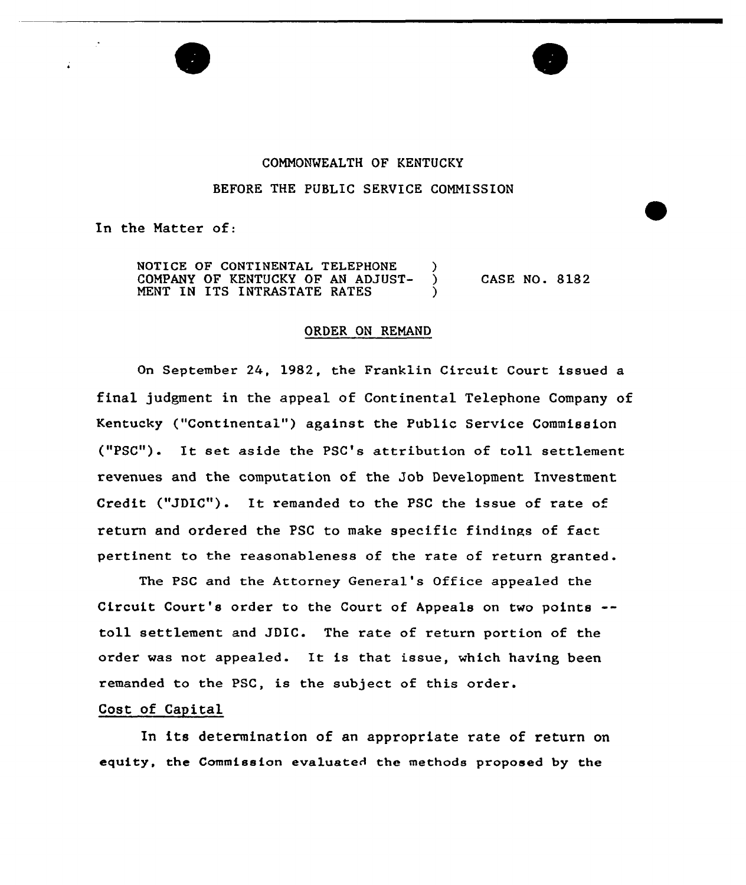

## COMMONWEALTH OF KENTUCKY BEFORE THE PUBLIC SERVICE COMMISSION

In the Matter of:

NOTICE OF CONTINENTAL TELEPHONE )<br>COMPANY OF KENTUCKY OF AN ADJUST- ) COMPANY OF KENTUCKY OF AN ADJUST-MENT IN ITS INTRASTATE RATES CASE NO. 8182

## ORDER ON REMAND

On Septembex 24, 1982, the Franklin Circuit Court issued a final judgment in the appeal of Continental Telephone Company of Kentucky ("Continental") against the Public Service Commission ("PSC"). It set aside the PSC's attribution of toll settlement revenues and the computation of the Job Development Investment Credit ("JDIC"). It remanded to the PSC the issue of rate of return and ordered the PSC to make specific findinps of fact pertinent to the reasonableness of the rate of return granted.

The PSC and the Attorney General's Office appealed the Circuit Court's order to the Court of Appeals on two points toll settlement and JDIC. The rate of return portion of the order was not appealed. It is that issue, which having been remanded to the PSC, is the subject of this order.

## Cost of Capital

In its determination of an appropriate rate of return on equity, the Commission evaluated the methods proposed by the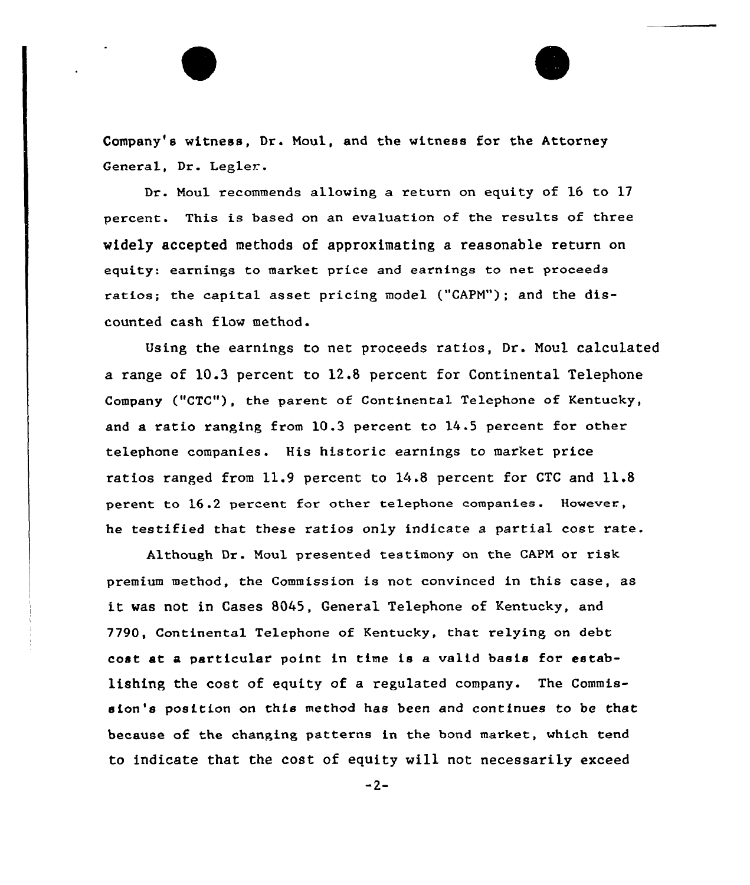Company's witness, Dr. Moul, and the witness for the Attorney General, Dr. Legler.

Dr. Moul recommends allowing a return on equity of 16 to 17 percent. This is based on an evaluation of the results of three widely accepted methods of approximating a reasonable return on equity: earnings to market price and earnings to net proceeds ratios; the capital asset pricing model {"CAPM"); and the discounted cash flow method.

Using the earnings to net proceeds ratios, Dr. Noul calculated a range of 10.3 percent to 12.8 percent for Continental Telephone Company ("CTC"), the parent of Continental Telephone of Kentucky, and a ratio ranging from 10.3 percent to 14 .5 percent for other telephone companies. His historic earnings to market price ratios ranged from 11.9 percent to 14.8 percent for CTC and 11.8 perent to l6.2 percent for other telephone companies. However, he testified that these ratios only indicate a partial cost rate.

Although Dr. Noul presented testimony on the CAPM or risk premium method, the Commission is not convinced in this case, as it was not in Cases 8045, General Telephone of Kentucky, and 7790, Continental Telephone of Kentucky, that relying on debt cost at a particular point in time is a valid basis for establishing the cost of equity of a regulated company. The Commission's position on this method has been and continues to be that because of the changing patterns in the bond market, which tend to indicate that the cost of equity will not necessarily exceed

 $-2-$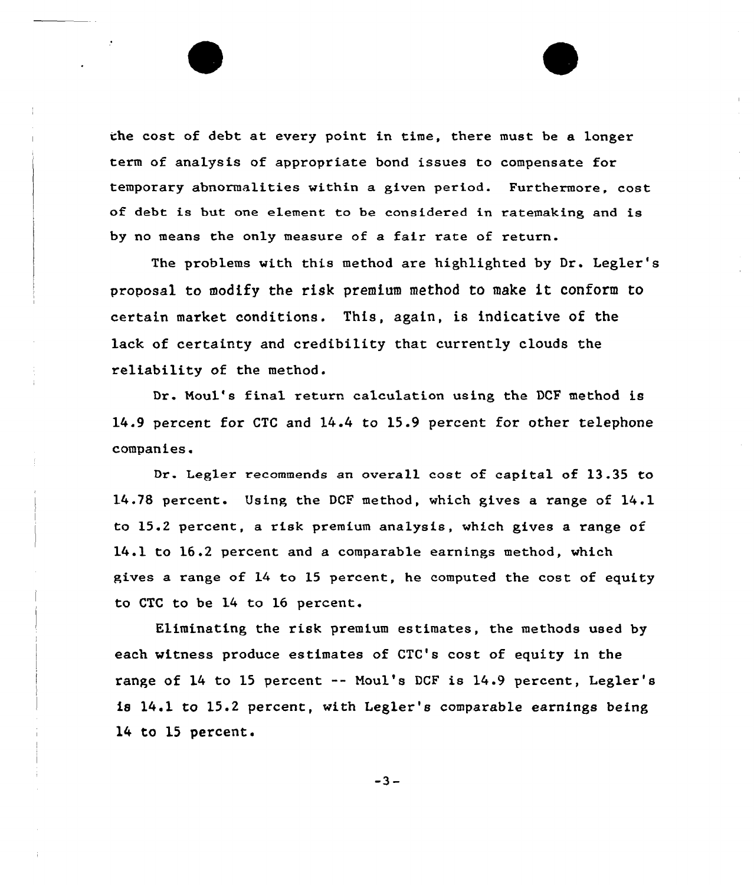the cost of debt at every point in time, there must be a longer term of analysis of appropriate bond issues to compensate for temporary abnormalities within a given period. Furthermore, cost of debt is but one element to be considered in ratemaking and is by no means the only measure of a fair rate of return.

The problems with this method are highlighted by Dr. Legler's proposal to modify the risk premium method to make it conform to certain market conditions. This, again, is indicative of the lack of certainty and credibility that currently clouds the reliability of the method.

Dr. Noul's final return calculation using the DCF method is 14.9 percent for CTC and 14.4 to 15.9 percent for other telephone companies.

Dr. Legler recommends an overall cost of capital of 13.35 to 14.78 percent. Using the DCP method, which gives a range of 14.1 to 15.2 percent, a risk premium analysis, which gives a range of 14.1 to 16.2 percent and a comparable earnings method, which gives a range of 14 to 15 percent, he computed the cost of equity to CTC to be 14 to 16 percent.

Eliminating the risk premium estimates, the methods used by each witness produce estimates of CTC's cost of equity in the range of 14 to 15 percent -- Moul's DCF is 14.9 percent, Legler's is 14.1 to 15.2 percent, with Legler's comparable earnings being 14 to 15 percent.

 $-3-$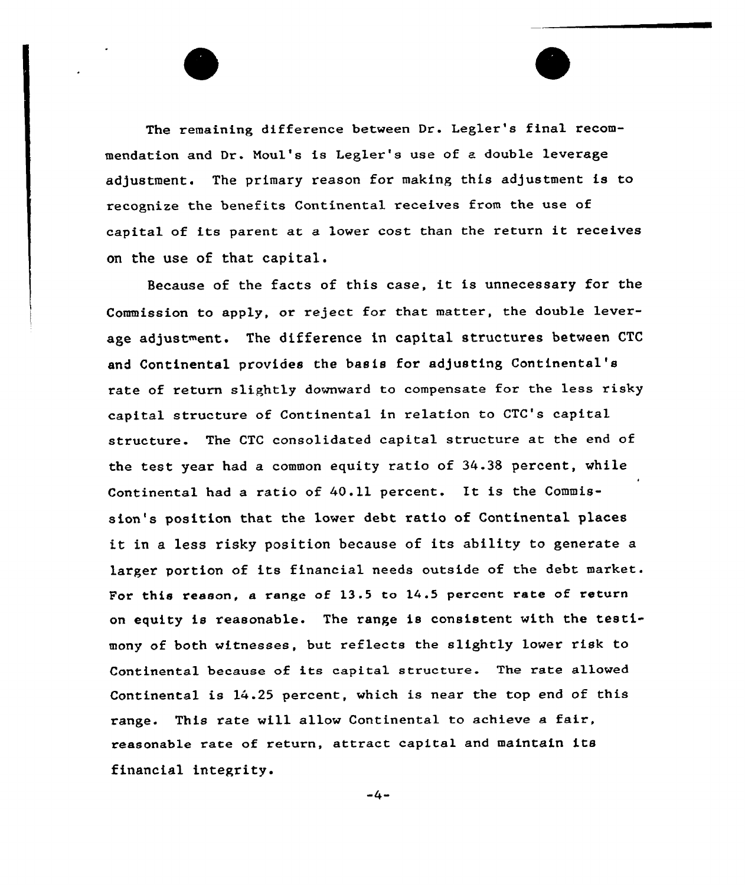The remaining difference between Dr. Legler's final recommendation and Dr. Noul's is Legler's use of a double leverage adjustment. The primary reason for making this adjustment is to recognize the benefits Continenta1 receives from the use of capital of its parent at <sup>a</sup> lower cost than the return it receives on the use of that capital.

Because of the facts of this case, it is unnecessary for the Commission to apply, or reject for that matter, the double leverage adjustment. The difference in capital structures between CTC and Continental provides the basis for adjusting Continental'8 rate of return slightly downward to compensate for the less risky capital structure of Continental in relation to CTC's capital structure. The CTC consolidated capital structure at the end of the test year had a common equity ratio of 34.3S percent, vhile Continental had a ratio of  $40.11$  percent. It is the Commission's position that the lover debt ratio of Continental places it in <sup>a</sup> less risky position because of its ability to generate <sup>a</sup> larger portion of its financial needs outside of the debt market. For this reason, a range of  $13.5$  to  $14.5$  percent rate of return on equity is reasonable. The range is consistent with the testimony of both witnesses, but reflects the slightly lower risk to Continental because of its capital structure. The rate allowed Continental is 14.25 percent, which is near the top end of this range. This rate will allow Continental to achieve <sup>a</sup> fair, reasonable rate of return, attract capital and maintain its financial integrity.

 $-4-$